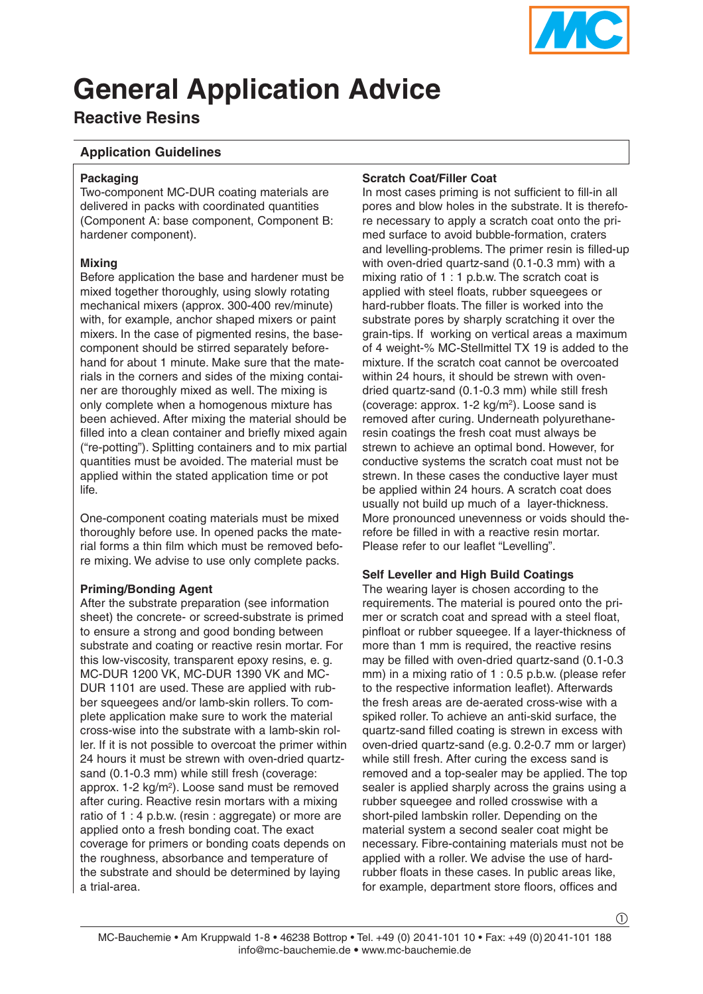

# **General Application Advice**

# **Reactive Resins**

# **Application Guidelines**

#### **Packaging**

Two-component MC-DUR coating materials are delivered in packs with coordinated quantities (Component A: base component, Component B: hardener component).

# **Mixing**

Before application the base and hardener must be mixed together thoroughly, using slowly rotating mechanical mixers (approx. 300-400 rev/minute) with, for example, anchor shaped mixers or paint mixers. In the case of pigmented resins, the basecomponent should be stirred separately beforehand for about 1 minute. Make sure that the materials in the corners and sides of the mixing container are thoroughly mixed as well. The mixing is only complete when a homogenous mixture has been achieved. After mixing the material should be filled into a clean container and briefly mixed again ("re-potting"). Splitting containers and to mix partial quantities must be avoided. The material must be applied within the stated application time or pot life.

One-component coating materials must be mixed thoroughly before use. In opened packs the material forms a thin film which must be removed before mixing. We advise to use only complete packs.

# **Priming/Bonding Agent**

After the substrate preparation (see information sheet) the concrete- or screed-substrate is primed to ensure a strong and good bonding between substrate and coating or reactive resin mortar. For this low-viscosity, transparent epoxy resins, e. g. MC-DUR 1200 VK, MC-DUR 1390 VK and MC-DUR 1101 are used. These are applied with rubber squeegees and/or lamb-skin rollers. To complete application make sure to work the material cross-wise into the substrate with a lamb-skin roller. If it is not possible to overcoat the primer within 24 hours it must be strewn with oven-dried quartzsand (0.1-0.3 mm) while still fresh (coverage: approx. 1-2 kg/m2). Loose sand must be removed after curing. Reactive resin mortars with a mixing ratio of 1 : 4 p.b.w. (resin : aggregate) or more are applied onto a fresh bonding coat. The exact coverage for primers or bonding coats depends on the roughness, absorbance and temperature of the substrate and should be determined by laying a trial-area.

#### **Scratch Coat/Filler Coat**

In most cases priming is not sufficient to fill-in all pores and blow holes in the substrate. It is therefore necessary to apply a scratch coat onto the primed surface to avoid bubble-formation, craters and levelling-problems. The primer resin is filled-up with oven-dried quartz-sand (0.1-0.3 mm) with a mixing ratio of 1 : 1 p.b.w. The scratch coat is applied with steel floats, rubber squeegees or hard-rubber floats. The filler is worked into the substrate pores by sharply scratching it over the grain-tips. If working on vertical areas a maximum of 4 weight-% MC-Stellmittel TX 19 is added to the mixture. If the scratch coat cannot be overcoated within 24 hours, it should be strewn with ovendried quartz-sand (0.1-0.3 mm) while still fresh (coverage: approx. 1-2 kg/m2). Loose sand is removed after curing. Underneath polyurethaneresin coatings the fresh coat must always be strewn to achieve an optimal bond. However, for conductive systems the scratch coat must not be strewn. In these cases the conductive layer must be applied within 24 hours. A scratch coat does usually not build up much of a layer-thickness. More pronounced unevenness or voids should therefore be filled in with a reactive resin mortar. Please refer to our leaflet "Levelling".

#### **Self Leveller and High Build Coatings**

The wearing layer is chosen according to the requirements. The material is poured onto the primer or scratch coat and spread with a steel float, pinfloat or rubber squeegee. If a layer-thickness of more than 1 mm is required, the reactive resins may be filled with oven-dried quartz-sand (0.1-0.3 mm) in a mixing ratio of 1 : 0.5 p.b.w. (please refer to the respective information leaflet). Afterwards the fresh areas are de-aerated cross-wise with a spiked roller. To achieve an anti-skid surface, the quartz-sand filled coating is strewn in excess with oven-dried quartz-sand (e.g. 0.2-0.7 mm or larger) while still fresh. After curing the excess sand is removed and a top-sealer may be applied. The top sealer is applied sharply across the grains using a rubber squeegee and rolled crosswise with a short-piled lambskin roller. Depending on the material system a second sealer coat might be necessary. Fibre-containing materials must not be applied with a roller. We advise the use of hardrubber floats in these cases. In public areas like, for example, department store floors, offices and